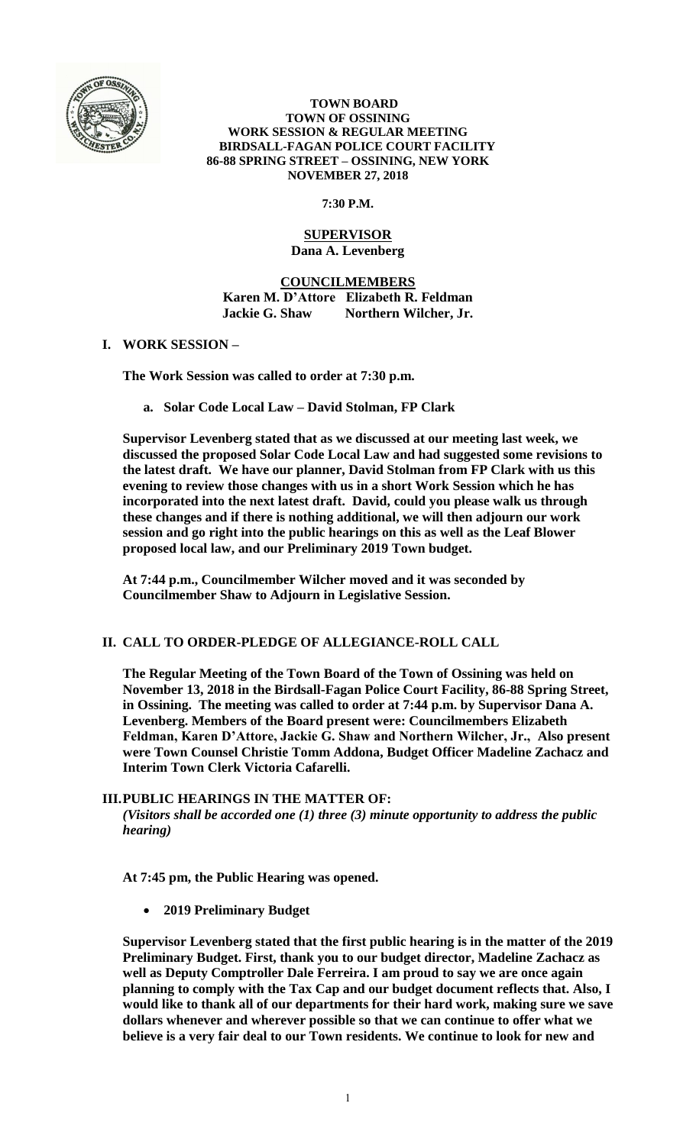

 **TOWN BOARD TOWN OF OSSINING WORK SESSION & REGULAR MEETING BIRDSALL-FAGAN POLICE COURT FACILITY 86-88 SPRING STREET – OSSINING, NEW YORK NOVEMBER 27, 2018**

**7:30 P.M.**

### **SUPERVISOR Dana A. Levenberg**

**COUNCILMEMBERS Karen M. D'Attore Elizabeth R. Feldman Jackie G. Shaw Northern Wilcher, Jr.**

# **I. WORK SESSION –**

**The Work Session was called to order at 7:30 p.m.**

**a. Solar Code Local Law – David Stolman, FP Clark**

**Supervisor Levenberg stated that as we discussed at our meeting last week, we discussed the proposed Solar Code Local Law and had suggested some revisions to the latest draft. We have our planner, David Stolman from FP Clark with us this evening to review those changes with us in a short Work Session which he has incorporated into the next latest draft. David, could you please walk us through these changes and if there is nothing additional, we will then adjourn our work session and go right into the public hearings on this as well as the Leaf Blower proposed local law, and our Preliminary 2019 Town budget.** 

**At 7:44 p.m., Councilmember Wilcher moved and it was seconded by Councilmember Shaw to Adjourn in Legislative Session.**

# **II. CALL TO ORDER-PLEDGE OF ALLEGIANCE-ROLL CALL**

**The Regular Meeting of the Town Board of the Town of Ossining was held on November 13, 2018 in the Birdsall-Fagan Police Court Facility, 86-88 Spring Street, in Ossining. The meeting was called to order at 7:44 p.m. by Supervisor Dana A. Levenberg. Members of the Board present were: Councilmembers Elizabeth Feldman, Karen D'Attore, Jackie G. Shaw and Northern Wilcher, Jr., Also present were Town Counsel Christie Tomm Addona, Budget Officer Madeline Zachacz and Interim Town Clerk Victoria Cafarelli.** 

# **III.PUBLIC HEARINGS IN THE MATTER OF:**

*(Visitors shall be accorded one (1) three (3) minute opportunity to address the public hearing)*

**At 7:45 pm, the Public Hearing was opened.** 

**2019 Preliminary Budget** 

**Supervisor Levenberg stated that the first public hearing is in the matter of the 2019 Preliminary Budget. First, thank you to our budget director, Madeline Zachacz as well as Deputy Comptroller Dale Ferreira. I am proud to say we are once again planning to comply with the Tax Cap and our budget document reflects that. Also, I would like to thank all of our departments for their hard work, making sure we save dollars whenever and wherever possible so that we can continue to offer what we believe is a very fair deal to our Town residents. We continue to look for new and**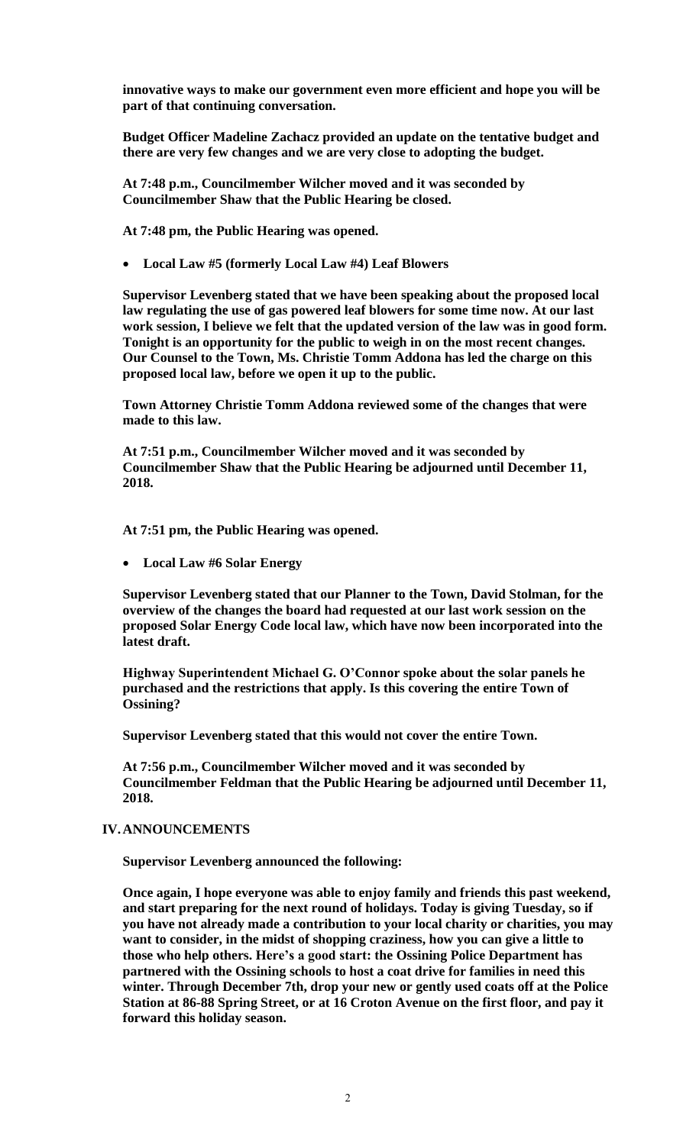**innovative ways to make our government even more efficient and hope you will be part of that continuing conversation.** 

**Budget Officer Madeline Zachacz provided an update on the tentative budget and there are very few changes and we are very close to adopting the budget.** 

**At 7:48 p.m., Councilmember Wilcher moved and it was seconded by Councilmember Shaw that the Public Hearing be closed.**

**At 7:48 pm, the Public Hearing was opened.** 

**Local Law #5 (formerly Local Law #4) Leaf Blowers**

**Supervisor Levenberg stated that we have been speaking about the proposed local law regulating the use of gas powered leaf blowers for some time now. At our last work session, I believe we felt that the updated version of the law was in good form. Tonight is an opportunity for the public to weigh in on the most recent changes. Our Counsel to the Town, Ms. Christie Tomm Addona has led the charge on this proposed local law, before we open it up to the public.**

**Town Attorney Christie Tomm Addona reviewed some of the changes that were made to this law.**

**At 7:51 p.m., Councilmember Wilcher moved and it was seconded by Councilmember Shaw that the Public Hearing be adjourned until December 11, 2018.**

**At 7:51 pm, the Public Hearing was opened.** 

**Local Law #6 Solar Energy**

**Supervisor Levenberg stated that our Planner to the Town, David Stolman, for the overview of the changes the board had requested at our last work session on the proposed Solar Energy Code local law, which have now been incorporated into the latest draft.** 

**Highway Superintendent Michael G. O'Connor spoke about the solar panels he purchased and the restrictions that apply. Is this covering the entire Town of Ossining?** 

**Supervisor Levenberg stated that this would not cover the entire Town.**

**At 7:56 p.m., Councilmember Wilcher moved and it was seconded by Councilmember Feldman that the Public Hearing be adjourned until December 11, 2018.**

#### **IV.ANNOUNCEMENTS**

**Supervisor Levenberg announced the following:**

**Once again, I hope everyone was able to enjoy family and friends this past weekend, and start preparing for the next round of holidays. Today is giving Tuesday, so if you have not already made a contribution to your local charity or charities, you may want to consider, in the midst of shopping craziness, how you can give a little to those who help others. Here's a good start: the Ossining Police Department has partnered with the Ossining schools to host a coat drive for families in need this winter. Through December 7th, drop your new or gently used coats off at the Police Station at 86-88 Spring Street, or at 16 Croton Avenue on the first floor, and pay it forward this holiday season.**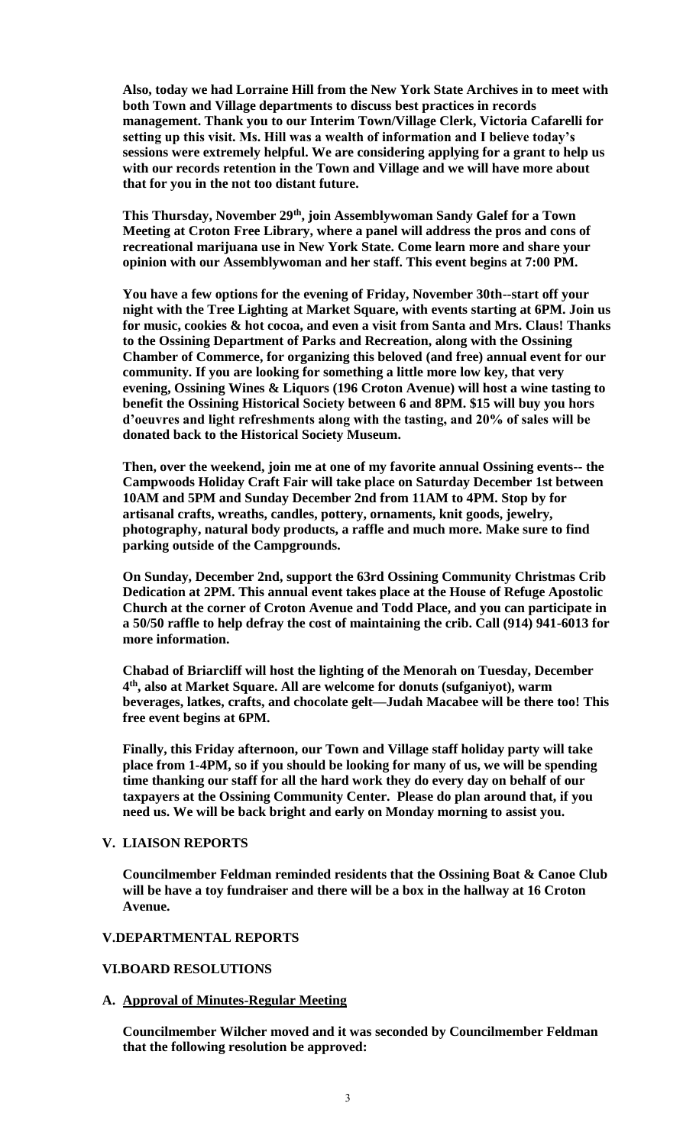**Also, today we had Lorraine Hill from the New York State Archives in to meet with both Town and Village departments to discuss best practices in records management. Thank you to our Interim Town/Village Clerk, Victoria Cafarelli for setting up this visit. Ms. Hill was a wealth of information and I believe today's sessions were extremely helpful. We are considering applying for a grant to help us with our records retention in the Town and Village and we will have more about that for you in the not too distant future.** 

**This Thursday, November 29th, join Assemblywoman Sandy Galef for a Town Meeting at Croton Free Library, where a panel will address the pros and cons of recreational marijuana use in New York State. Come learn more and share your opinion with our Assemblywoman and her staff. This event begins at 7:00 PM.**

**You have a few options for the evening of Friday, November 30th--start off your night with the Tree Lighting at Market Square, with events starting at 6PM. Join us for music, cookies & hot cocoa, and even a visit from Santa and Mrs. Claus! Thanks to the Ossining Department of Parks and Recreation, along with the Ossining Chamber of Commerce, for organizing this beloved (and free) annual event for our community. If you are looking for something a little more low key, that very evening, Ossining Wines & Liquors (196 Croton Avenue) will host a wine tasting to benefit the Ossining Historical Society between 6 and 8PM. \$15 will buy you hors d'oeuvres and light refreshments along with the tasting, and 20% of sales will be donated back to the Historical Society Museum.**

**Then, over the weekend, join me at one of my favorite annual Ossining events-- the Campwoods Holiday Craft Fair will take place on Saturday December 1st between 10AM and 5PM and Sunday December 2nd from 11AM to 4PM. Stop by for artisanal crafts, wreaths, candles, pottery, ornaments, knit goods, jewelry, photography, natural body products, a raffle and much more. Make sure to find parking outside of the Campgrounds.**

**On Sunday, December 2nd, support the 63rd Ossining Community Christmas Crib Dedication at 2PM. This annual event takes place at the House of Refuge Apostolic Church at the corner of Croton Avenue and Todd Place, and you can participate in a 50/50 raffle to help defray the cost of maintaining the crib. Call (914) 941-6013 for more information.**

**Chabad of Briarcliff will host the lighting of the Menorah on Tuesday, December 4 th, also at Market Square. All are welcome for donuts (sufganiyot), warm beverages, latkes, crafts, and chocolate gelt—Judah Macabee will be there too! This free event begins at 6PM.**

**Finally, this Friday afternoon, our Town and Village staff holiday party will take place from 1-4PM, so if you should be looking for many of us, we will be spending time thanking our staff for all the hard work they do every day on behalf of our taxpayers at the Ossining Community Center. Please do plan around that, if you need us. We will be back bright and early on Monday morning to assist you.**

#### **V. LIAISON REPORTS**

**Councilmember Feldman reminded residents that the Ossining Boat & Canoe Club will be have a toy fundraiser and there will be a box in the hallway at 16 Croton Avenue.**

#### **V.DEPARTMENTAL REPORTS**

# **VI.BOARD RESOLUTIONS**

# **A. Approval of Minutes-Regular Meeting**

**Councilmember Wilcher moved and it was seconded by Councilmember Feldman that the following resolution be approved:**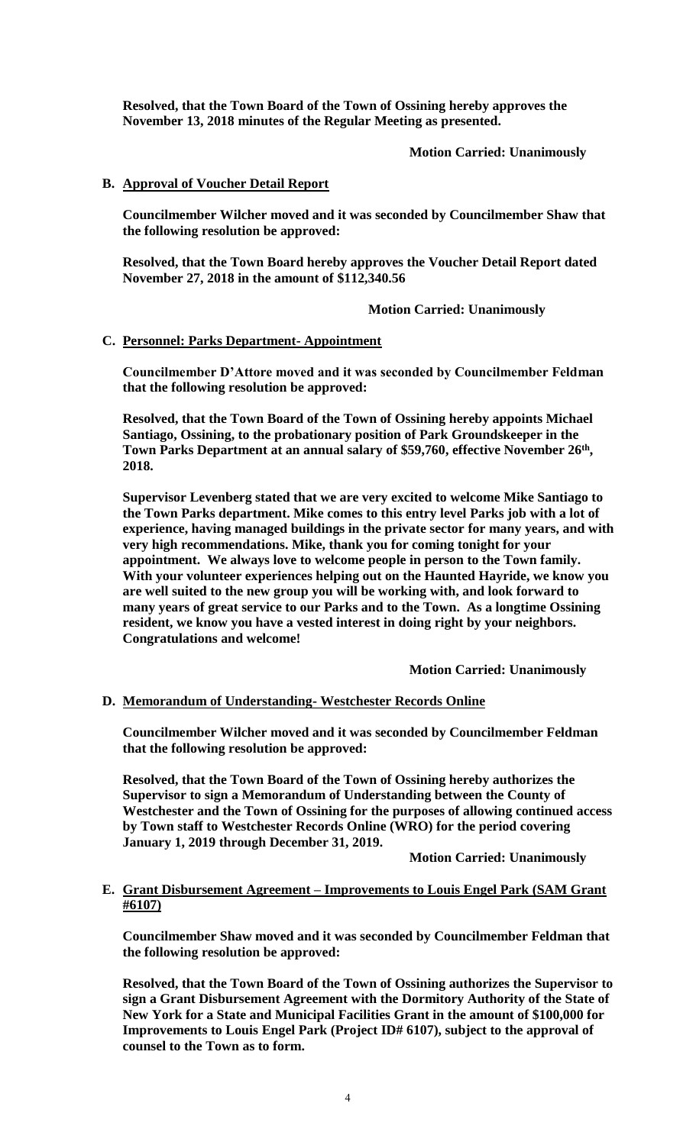**Resolved, that the Town Board of the Town of Ossining hereby approves the November 13, 2018 minutes of the Regular Meeting as presented.**

**Motion Carried: Unanimously**

### **B. Approval of Voucher Detail Report**

**Councilmember Wilcher moved and it was seconded by Councilmember Shaw that the following resolution be approved:**

**Resolved, that the Town Board hereby approves the Voucher Detail Report dated November 27, 2018 in the amount of \$112,340.56**

**Motion Carried: Unanimously**

### **C. Personnel: Parks Department- Appointment**

**Councilmember D'Attore moved and it was seconded by Councilmember Feldman that the following resolution be approved:**

**Resolved, that the Town Board of the Town of Ossining hereby appoints Michael Santiago, Ossining, to the probationary position of Park Groundskeeper in the Town Parks Department at an annual salary of \$59,760, effective November 26th , 2018.**

**Supervisor Levenberg stated that we are very excited to welcome Mike Santiago to the Town Parks department. Mike comes to this entry level Parks job with a lot of experience, having managed buildings in the private sector for many years, and with very high recommendations. Mike, thank you for coming tonight for your appointment. We always love to welcome people in person to the Town family. With your volunteer experiences helping out on the Haunted Hayride, we know you are well suited to the new group you will be working with, and look forward to many years of great service to our Parks and to the Town. As a longtime Ossining resident, we know you have a vested interest in doing right by your neighbors. Congratulations and welcome!**

**Motion Carried: Unanimously**

### **D. Memorandum of Understanding- Westchester Records Online**

**Councilmember Wilcher moved and it was seconded by Councilmember Feldman that the following resolution be approved:**

**Resolved, that the Town Board of the Town of Ossining hereby authorizes the Supervisor to sign a Memorandum of Understanding between the County of Westchester and the Town of Ossining for the purposes of allowing continued access by Town staff to Westchester Records Online (WRO) for the period covering January 1, 2019 through December 31, 2019.**

**Motion Carried: Unanimously**

### **E. Grant Disbursement Agreement – Improvements to Louis Engel Park (SAM Grant #6107)**

**Councilmember Shaw moved and it was seconded by Councilmember Feldman that the following resolution be approved:**

**Resolved, that the Town Board of the Town of Ossining authorizes the Supervisor to sign a Grant Disbursement Agreement with the Dormitory Authority of the State of New York for a State and Municipal Facilities Grant in the amount of \$100,000 for Improvements to Louis Engel Park (Project ID# 6107), subject to the approval of counsel to the Town as to form.**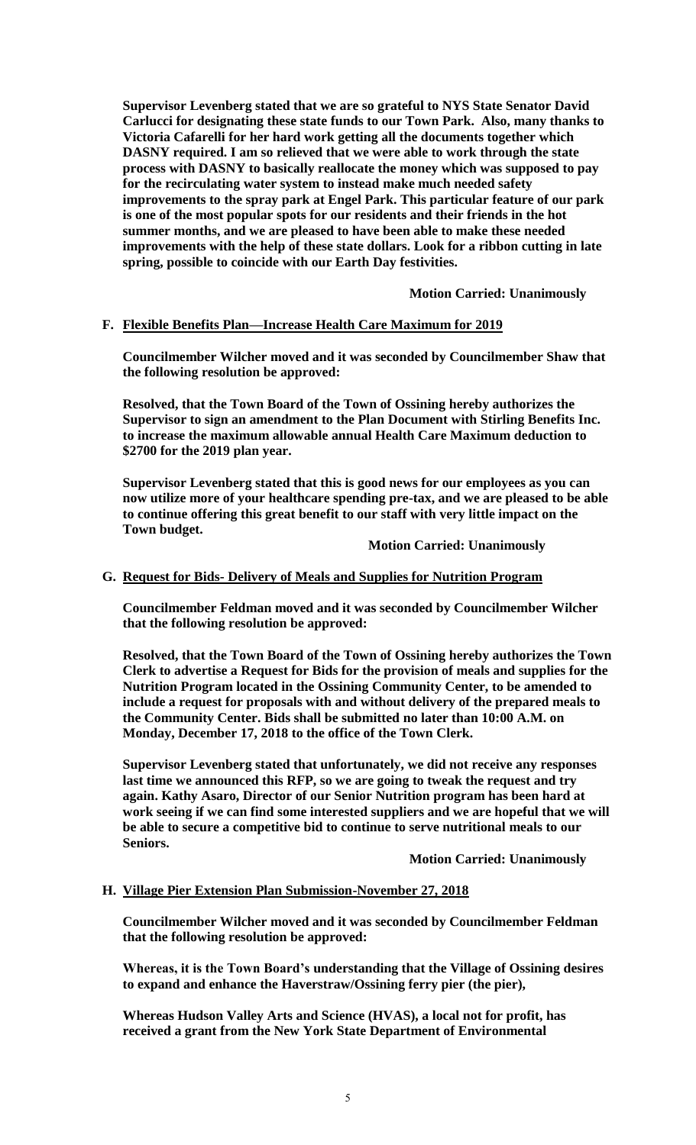**Supervisor Levenberg stated that we are so grateful to NYS State Senator David Carlucci for designating these state funds to our Town Park. Also, many thanks to Victoria Cafarelli for her hard work getting all the documents together which DASNY required. I am so relieved that we were able to work through the state process with DASNY to basically reallocate the money which was supposed to pay for the recirculating water system to instead make much needed safety improvements to the spray park at Engel Park. This particular feature of our park is one of the most popular spots for our residents and their friends in the hot summer months, and we are pleased to have been able to make these needed improvements with the help of these state dollars. Look for a ribbon cutting in late spring, possible to coincide with our Earth Day festivities.**

**Motion Carried: Unanimously**

### **F. Flexible Benefits Plan—Increase Health Care Maximum for 2019**

**Councilmember Wilcher moved and it was seconded by Councilmember Shaw that the following resolution be approved:**

**Resolved, that the Town Board of the Town of Ossining hereby authorizes the Supervisor to sign an amendment to the Plan Document with Stirling Benefits Inc. to increase the maximum allowable annual Health Care Maximum deduction to \$2700 for the 2019 plan year.**

**Supervisor Levenberg stated that this is good news for our employees as you can now utilize more of your healthcare spending pre-tax, and we are pleased to be able to continue offering this great benefit to our staff with very little impact on the Town budget.**

#### **Motion Carried: Unanimously**

# **G. Request for Bids- Delivery of Meals and Supplies for Nutrition Program**

**Councilmember Feldman moved and it was seconded by Councilmember Wilcher that the following resolution be approved:**

**Resolved, that the Town Board of the Town of Ossining hereby authorizes the Town Clerk to advertise a Request for Bids for the provision of meals and supplies for the Nutrition Program located in the Ossining Community Center, to be amended to include a request for proposals with and without delivery of the prepared meals to the Community Center. Bids shall be submitted no later than 10:00 A.M. on Monday, December 17, 2018 to the office of the Town Clerk.**

**Supervisor Levenberg stated that unfortunately, we did not receive any responses last time we announced this RFP, so we are going to tweak the request and try again. Kathy Asaro, Director of our Senior Nutrition program has been hard at work seeing if we can find some interested suppliers and we are hopeful that we will be able to secure a competitive bid to continue to serve nutritional meals to our Seniors.**

**Motion Carried: Unanimously**

#### **H. Village Pier Extension Plan Submission-November 27, 2018**

**Councilmember Wilcher moved and it was seconded by Councilmember Feldman that the following resolution be approved:**

**Whereas, it is the Town Board's understanding that the Village of Ossining desires to expand and enhance the Haverstraw/Ossining ferry pier (the pier),**

**Whereas Hudson Valley Arts and Science (HVAS), a local not for profit, has received a grant from the New York State Department of Environmental**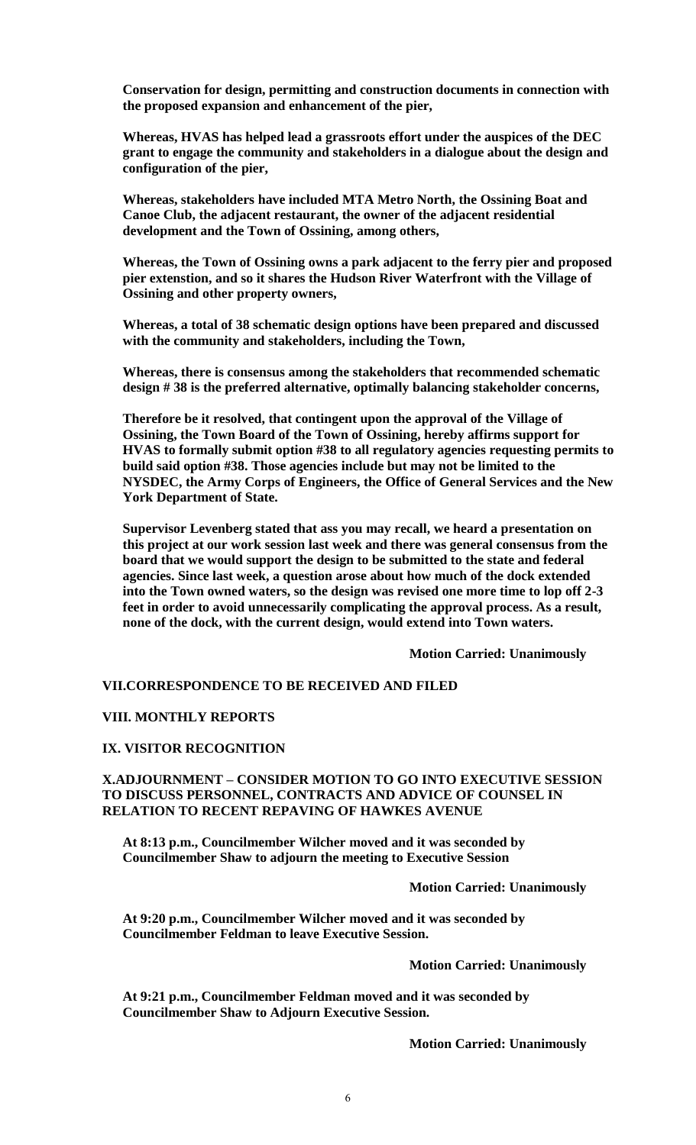**Conservation for design, permitting and construction documents in connection with the proposed expansion and enhancement of the pier,** 

**Whereas, HVAS has helped lead a grassroots effort under the auspices of the DEC grant to engage the community and stakeholders in a dialogue about the design and configuration of the pier,**

**Whereas, stakeholders have included MTA Metro North, the Ossining Boat and Canoe Club, the adjacent restaurant, the owner of the adjacent residential development and the Town of Ossining, among others,**

**Whereas, the Town of Ossining owns a park adjacent to the ferry pier and proposed pier extenstion, and so it shares the Hudson River Waterfront with the Village of Ossining and other property owners,** 

**Whereas, a total of 38 schematic design options have been prepared and discussed with the community and stakeholders, including the Town,** 

**Whereas, there is consensus among the stakeholders that recommended schematic design # 38 is the preferred alternative, optimally balancing stakeholder concerns,**

**Therefore be it resolved, that contingent upon the approval of the Village of Ossining, the Town Board of the Town of Ossining, hereby affirms support for HVAS to formally submit option #38 to all regulatory agencies requesting permits to build said option #38. Those agencies include but may not be limited to the NYSDEC, the Army Corps of Engineers, the Office of General Services and the New York Department of State.**

**Supervisor Levenberg stated that ass you may recall, we heard a presentation on this project at our work session last week and there was general consensus from the board that we would support the design to be submitted to the state and federal agencies. Since last week, a question arose about how much of the dock extended into the Town owned waters, so the design was revised one more time to lop off 2-3 feet in order to avoid unnecessarily complicating the approval process. As a result, none of the dock, with the current design, would extend into Town waters.** 

**Motion Carried: Unanimously**

# **VII.CORRESPONDENCE TO BE RECEIVED AND FILED**

### **VIII. MONTHLY REPORTS**

#### **IX. VISITOR RECOGNITION**

**X.ADJOURNMENT – CONSIDER MOTION TO GO INTO EXECUTIVE SESSION TO DISCUSS PERSONNEL, CONTRACTS AND ADVICE OF COUNSEL IN RELATION TO RECENT REPAVING OF HAWKES AVENUE**

**At 8:13 p.m., Councilmember Wilcher moved and it was seconded by Councilmember Shaw to adjourn the meeting to Executive Session**

**Motion Carried: Unanimously**

**At 9:20 p.m., Councilmember Wilcher moved and it was seconded by Councilmember Feldman to leave Executive Session.**

### **Motion Carried: Unanimously**

**At 9:21 p.m., Councilmember Feldman moved and it was seconded by Councilmember Shaw to Adjourn Executive Session.**

**Motion Carried: Unanimously**